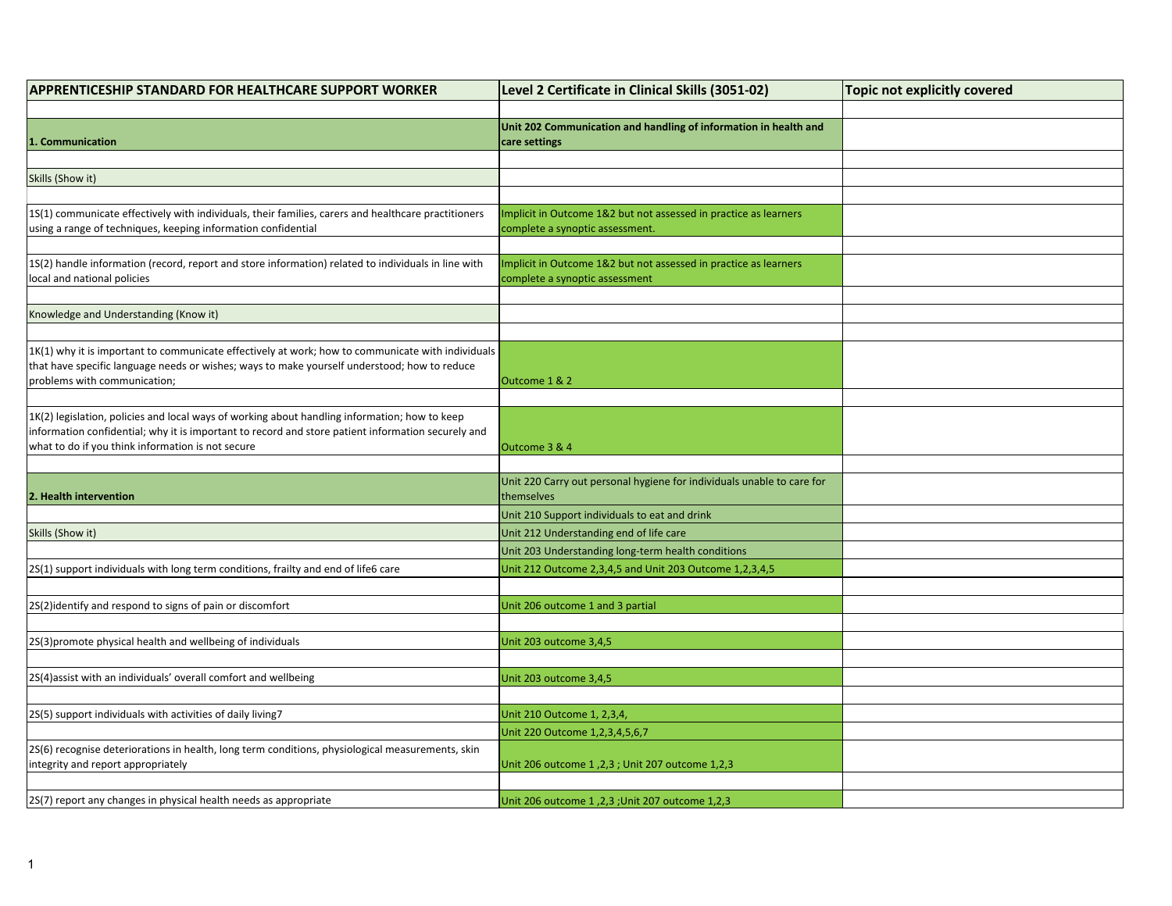| <b>APPRENTICESHIP STANDARD FOR HEALTHCARE SUPPORT WORKER</b>                                                                                                                                                                                             | Level 2 Certificate in Clinical Skills (3051-02)                                                    | Topic not explicitly covered |
|----------------------------------------------------------------------------------------------------------------------------------------------------------------------------------------------------------------------------------------------------------|-----------------------------------------------------------------------------------------------------|------------------------------|
|                                                                                                                                                                                                                                                          |                                                                                                     |                              |
| 1. Communication                                                                                                                                                                                                                                         | Unit 202 Communication and handling of information in health and<br>care settings                   |                              |
|                                                                                                                                                                                                                                                          |                                                                                                     |                              |
| Skills (Show it)                                                                                                                                                                                                                                         |                                                                                                     |                              |
|                                                                                                                                                                                                                                                          |                                                                                                     |                              |
| 1S(1) communicate effectively with individuals, their families, carers and healthcare practitioners<br>using a range of techniques, keeping information confidential                                                                                     | Implicit in Outcome 1&2 but not assessed in practice as learners<br>complete a synoptic assessment. |                              |
|                                                                                                                                                                                                                                                          |                                                                                                     |                              |
| 1S(2) handle information (record, report and store information) related to individuals in line with<br>local and national policies                                                                                                                       | Implicit in Outcome 1&2 but not assessed in practice as learners<br>complete a synoptic assessment  |                              |
|                                                                                                                                                                                                                                                          |                                                                                                     |                              |
| Knowledge and Understanding (Know it)                                                                                                                                                                                                                    |                                                                                                     |                              |
| 1K(1) why it is important to communicate effectively at work; how to communicate with individuals<br>that have specific language needs or wishes; ways to make yourself understood; how to reduce<br>problems with communication;                        | Outcome 1 & 2                                                                                       |                              |
|                                                                                                                                                                                                                                                          |                                                                                                     |                              |
| 1K(2) legislation, policies and local ways of working about handling information; how to keep<br>information confidential; why it is important to record and store patient information securely and<br>what to do if you think information is not secure | Outcome 3 & 4                                                                                       |                              |
|                                                                                                                                                                                                                                                          |                                                                                                     |                              |
| 2. Health intervention                                                                                                                                                                                                                                   | Unit 220 Carry out personal hygiene for individuals unable to care for<br>themselves                |                              |
|                                                                                                                                                                                                                                                          | Unit 210 Support individuals to eat and drink                                                       |                              |
| Skills (Show it)                                                                                                                                                                                                                                         | Unit 212 Understanding end of life care                                                             |                              |
|                                                                                                                                                                                                                                                          | Unit 203 Understanding long-term health conditions                                                  |                              |
| 2S(1) support individuals with long term conditions, frailty and end of life6 care                                                                                                                                                                       | Unit 212 Outcome 2,3,4,5 and Unit 203 Outcome 1,2,3,4,5                                             |                              |
| 2S(2) identify and respond to signs of pain or discomfort                                                                                                                                                                                                | Unit 206 outcome 1 and 3 partial                                                                    |                              |
|                                                                                                                                                                                                                                                          |                                                                                                     |                              |
| 2S(3) promote physical health and wellbeing of individuals                                                                                                                                                                                               | Unit 203 outcome 3,4,5                                                                              |                              |
|                                                                                                                                                                                                                                                          |                                                                                                     |                              |
| 2S(4)assist with an individuals' overall comfort and wellbeing                                                                                                                                                                                           | Unit 203 outcome 3,4,5                                                                              |                              |
|                                                                                                                                                                                                                                                          |                                                                                                     |                              |
| 2S(5) support individuals with activities of daily living7                                                                                                                                                                                               | Unit 210 Outcome 1, 2,3,4,                                                                          |                              |
|                                                                                                                                                                                                                                                          | Unit 220 Outcome 1,2,3,4,5,6,7                                                                      |                              |
| 2S(6) recognise deteriorations in health, long term conditions, physiological measurements, skin<br>integrity and report appropriately                                                                                                                   | Unit 206 outcome 1,2,3; Unit 207 outcome 1,2,3                                                      |                              |
| 2S(7) report any changes in physical health needs as appropriate                                                                                                                                                                                         | Unit 206 outcome 1,2,3 ; Unit 207 outcome 1,2,3                                                     |                              |
|                                                                                                                                                                                                                                                          |                                                                                                     |                              |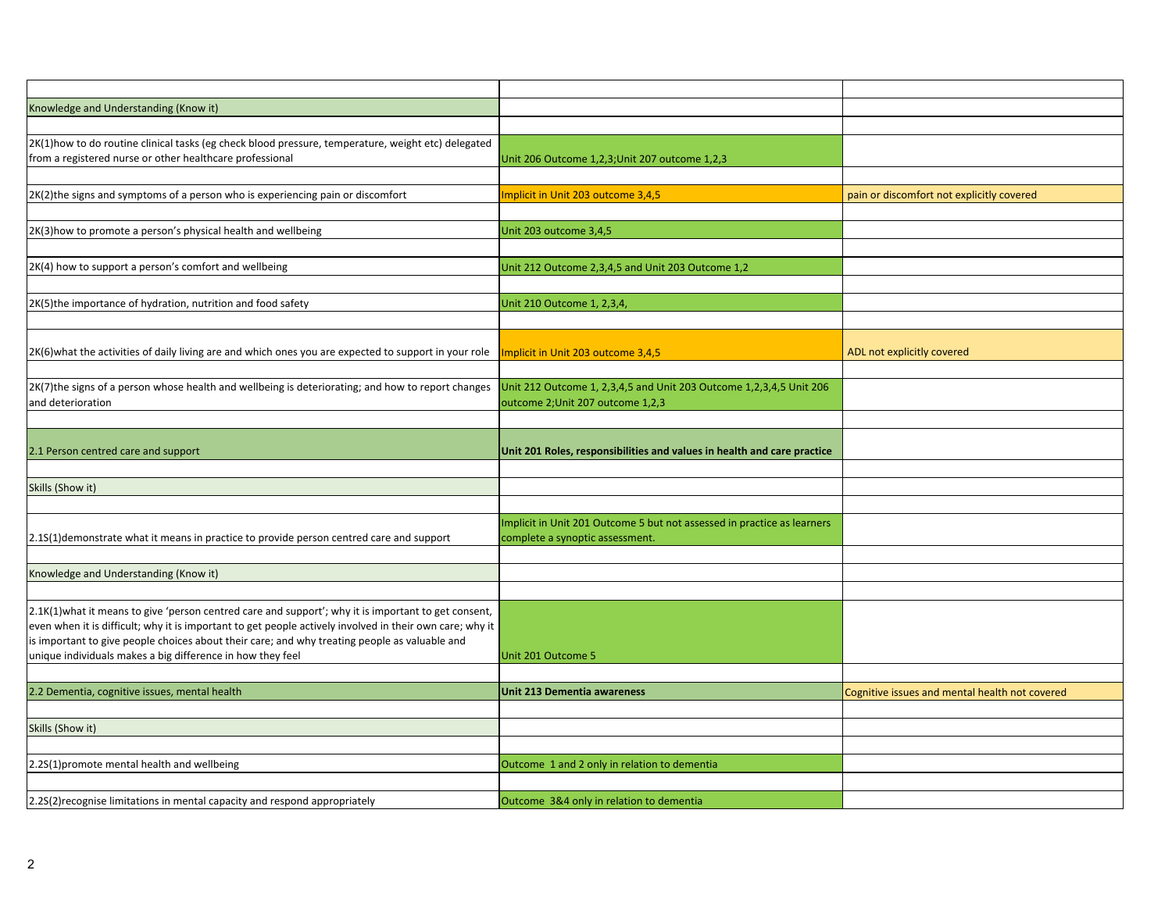| Knowledge and Understanding (Know it)                                                                                                                                                                            |                                                                                                           |                                                |
|------------------------------------------------------------------------------------------------------------------------------------------------------------------------------------------------------------------|-----------------------------------------------------------------------------------------------------------|------------------------------------------------|
|                                                                                                                                                                                                                  |                                                                                                           |                                                |
| 2K(1)how to do routine clinical tasks (eg check blood pressure, temperature, weight etc) delegated<br>from a registered nurse or other healthcare professional                                                   | Unit 206 Outcome 1,2,3;Unit 207 outcome 1,2,3                                                             |                                                |
| 2K(2) the signs and symptoms of a person who is experiencing pain or discomfort                                                                                                                                  | mplicit in Unit 203 outcome 3,4,5                                                                         | pain or discomfort not explicitly covered      |
| 2K(3)how to promote a person's physical health and wellbeing                                                                                                                                                     | Unit 203 outcome 3,4,5                                                                                    |                                                |
| 2K(4) how to support a person's comfort and wellbeing                                                                                                                                                            | Unit 212 Outcome 2,3,4,5 and Unit 203 Outcome 1,2                                                         |                                                |
| 2K(5) the importance of hydration, nutrition and food safety                                                                                                                                                     | Unit 210 Outcome 1, 2,3,4,                                                                                |                                                |
|                                                                                                                                                                                                                  |                                                                                                           | ADL not explicitly covered                     |
| 2K(6) what the activities of daily living are and which ones you are expected to support in your role                                                                                                            | mplicit in Unit 203 outcome 3,4,5                                                                         |                                                |
| 2K(7) the signs of a person whose health and wellbeing is deteriorating; and how to report changes<br>and deterioration                                                                                          | Unit 212 Outcome 1, 2,3,4,5 and Unit 203 Outcome 1,2,3,4,5 Unit 206<br>outcome 2; Unit 207 outcome 1,2,3  |                                                |
|                                                                                                                                                                                                                  |                                                                                                           |                                                |
| 2.1 Person centred care and support                                                                                                                                                                              | Unit 201 Roles, responsibilities and values in health and care practice                                   |                                                |
| Skills (Show it)                                                                                                                                                                                                 |                                                                                                           |                                                |
|                                                                                                                                                                                                                  |                                                                                                           |                                                |
| 2.1S(1)demonstrate what it means in practice to provide person centred care and support                                                                                                                          | mplicit in Unit 201 Outcome 5 but not assessed in practice as learners<br>complete a synoptic assessment. |                                                |
| Knowledge and Understanding (Know it)                                                                                                                                                                            |                                                                                                           |                                                |
| 2.1K(1) what it means to give 'person centred care and support'; why it is important to get consent,<br>even when it is difficult; why it is important to get people actively involved in their own care; why it |                                                                                                           |                                                |
| is important to give people choices about their care; and why treating people as valuable and<br>unique individuals makes a big difference in how they feel                                                      | Unit 201 Outcome 5                                                                                        |                                                |
| 2.2 Dementia, cognitive issues, mental health                                                                                                                                                                    | Unit 213 Dementia awareness                                                                               | Cognitive issues and mental health not covered |
|                                                                                                                                                                                                                  |                                                                                                           |                                                |
| Skills (Show it)                                                                                                                                                                                                 |                                                                                                           |                                                |
| 2.2S(1) promote mental health and wellbeing                                                                                                                                                                      | Outcome 1 and 2 only in relation to dementia                                                              |                                                |
| 2.2S(2) recognise limitations in mental capacity and respond appropriately                                                                                                                                       | Outcome 3&4 only in relation to dementia                                                                  |                                                |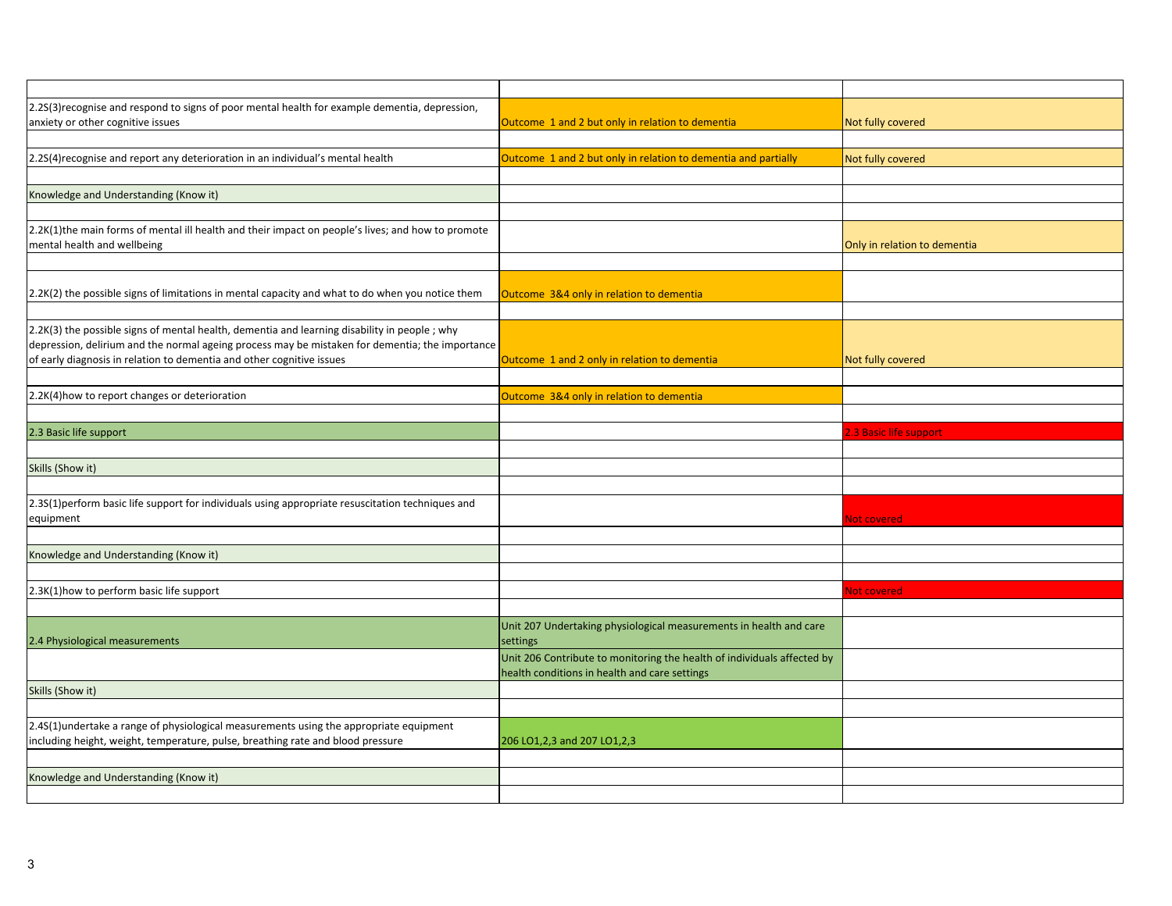| 2.2S(3) recognise and respond to signs of poor mental health for example dementia, depression,<br>anxiety or other cognitive issues                                                                                                                                      | Outcome 1 and 2 but only in relation to dementia                                                                         | Not fully covered            |
|--------------------------------------------------------------------------------------------------------------------------------------------------------------------------------------------------------------------------------------------------------------------------|--------------------------------------------------------------------------------------------------------------------------|------------------------------|
|                                                                                                                                                                                                                                                                          |                                                                                                                          |                              |
| 2.2S(4) recognise and report any deterioration in an individual's mental health                                                                                                                                                                                          | Outcome 1 and 2 but only in relation to dementia and partially                                                           | Not fully covered            |
| Knowledge and Understanding (Know it)                                                                                                                                                                                                                                    |                                                                                                                          |                              |
|                                                                                                                                                                                                                                                                          |                                                                                                                          |                              |
| 2.2K(1)the main forms of mental ill health and their impact on people's lives; and how to promote<br>mental health and wellbeing                                                                                                                                         |                                                                                                                          | Only in relation to dementia |
|                                                                                                                                                                                                                                                                          |                                                                                                                          |                              |
| 2.2K(2) the possible signs of limitations in mental capacity and what to do when you notice them                                                                                                                                                                         | Outcome 3&4 only in relation to dementia                                                                                 |                              |
|                                                                                                                                                                                                                                                                          |                                                                                                                          |                              |
| 2.2K(3) the possible signs of mental health, dementia and learning disability in people; why<br>depression, delirium and the normal ageing process may be mistaken for dementia; the importance<br>of early diagnosis in relation to dementia and other cognitive issues | Outcome 1 and 2 only in relation to dementia                                                                             |                              |
|                                                                                                                                                                                                                                                                          |                                                                                                                          | Not fully covered            |
| 2.2K(4) how to report changes or deterioration                                                                                                                                                                                                                           | Outcome 3&4 only in relation to dementia                                                                                 |                              |
|                                                                                                                                                                                                                                                                          |                                                                                                                          |                              |
| 2.3 Basic life support                                                                                                                                                                                                                                                   |                                                                                                                          | 2.3 Basic life support       |
|                                                                                                                                                                                                                                                                          |                                                                                                                          |                              |
| Skills (Show it)                                                                                                                                                                                                                                                         |                                                                                                                          |                              |
|                                                                                                                                                                                                                                                                          |                                                                                                                          |                              |
| 2.3S(1)perform basic life support for individuals using appropriate resuscitation techniques and<br>equipment                                                                                                                                                            |                                                                                                                          | <u>Not covered</u>           |
|                                                                                                                                                                                                                                                                          |                                                                                                                          |                              |
| Knowledge and Understanding (Know it)                                                                                                                                                                                                                                    |                                                                                                                          |                              |
| 2.3K(1)how to perform basic life support                                                                                                                                                                                                                                 |                                                                                                                          | Not covered                  |
|                                                                                                                                                                                                                                                                          |                                                                                                                          |                              |
| 2.4 Physiological measurements                                                                                                                                                                                                                                           | Unit 207 Undertaking physiological measurements in health and care<br>settings                                           |                              |
|                                                                                                                                                                                                                                                                          | Unit 206 Contribute to monitoring the health of individuals affected by<br>health conditions in health and care settings |                              |
| Skills (Show it)                                                                                                                                                                                                                                                         |                                                                                                                          |                              |
|                                                                                                                                                                                                                                                                          |                                                                                                                          |                              |
| 2.4S(1)undertake a range of physiological measurements using the appropriate equipment<br>including height, weight, temperature, pulse, breathing rate and blood pressure                                                                                                | 206 LO1,2,3 and 207 LO1,2,3                                                                                              |                              |
|                                                                                                                                                                                                                                                                          |                                                                                                                          |                              |
| Knowledge and Understanding (Know it)                                                                                                                                                                                                                                    |                                                                                                                          |                              |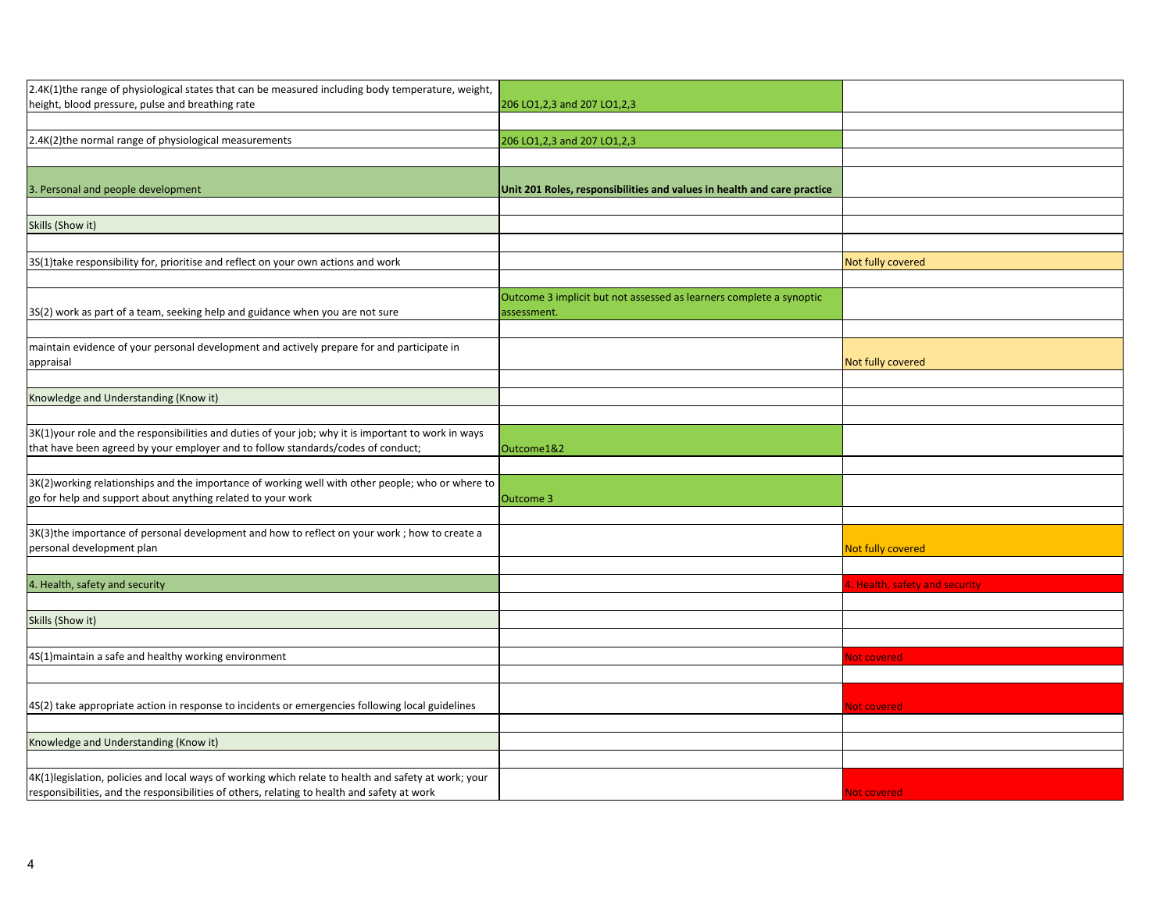| 2.4K(1)the range of physiological states that can be measured including body temperature, weight,<br>height, blood pressure, pulse and breathing rate                                               | 206 LO1,2,3 and 207 LO1,2,3                                                        |                                |
|-----------------------------------------------------------------------------------------------------------------------------------------------------------------------------------------------------|------------------------------------------------------------------------------------|--------------------------------|
|                                                                                                                                                                                                     |                                                                                    |                                |
| 2.4K(2)the normal range of physiological measurements                                                                                                                                               | 206 LO1,2,3 and 207 LO1,2,3                                                        |                                |
|                                                                                                                                                                                                     |                                                                                    |                                |
| 3. Personal and people development                                                                                                                                                                  | Unit 201 Roles, responsibilities and values in health and care practice            |                                |
|                                                                                                                                                                                                     |                                                                                    |                                |
| Skills (Show it)                                                                                                                                                                                    |                                                                                    |                                |
|                                                                                                                                                                                                     |                                                                                    |                                |
| 3S(1)take responsibility for, prioritise and reflect on your own actions and work                                                                                                                   |                                                                                    | Not fully covered              |
|                                                                                                                                                                                                     |                                                                                    |                                |
| 3S(2) work as part of a team, seeking help and guidance when you are not sure                                                                                                                       | Outcome 3 implicit but not assessed as learners complete a synoptic<br>assessment. |                                |
|                                                                                                                                                                                                     |                                                                                    |                                |
| maintain evidence of your personal development and actively prepare for and participate in<br>appraisal                                                                                             |                                                                                    | Not fully covered              |
|                                                                                                                                                                                                     |                                                                                    |                                |
| Knowledge and Understanding (Know it)                                                                                                                                                               |                                                                                    |                                |
|                                                                                                                                                                                                     |                                                                                    |                                |
| 3K(1)your role and the responsibilities and duties of your job; why it is important to work in ways<br>that have been agreed by your employer and to follow standards/codes of conduct;             | Outcome1&2                                                                         |                                |
|                                                                                                                                                                                                     |                                                                                    |                                |
| 3K(2) working relationships and the importance of working well with other people; who or where to<br>go for help and support about anything related to your work                                    | Outcome 3                                                                          |                                |
|                                                                                                                                                                                                     |                                                                                    |                                |
| 3K(3) the importance of personal development and how to reflect on your work; how to create a<br>personal development plan                                                                          |                                                                                    | Not fully covered              |
|                                                                                                                                                                                                     |                                                                                    |                                |
| 4. Health, safety and security                                                                                                                                                                      |                                                                                    | 4. Health, safety and security |
|                                                                                                                                                                                                     |                                                                                    |                                |
| Skills (Show it)                                                                                                                                                                                    |                                                                                    |                                |
|                                                                                                                                                                                                     |                                                                                    |                                |
| 4S(1) maintain a safe and healthy working environment                                                                                                                                               |                                                                                    | <u>Not covered</u>             |
|                                                                                                                                                                                                     |                                                                                    |                                |
| 4S(2) take appropriate action in response to incidents or emergencies following local guidelines                                                                                                    |                                                                                    | <b>Not covered</b>             |
|                                                                                                                                                                                                     |                                                                                    |                                |
| Knowledge and Understanding (Know it)                                                                                                                                                               |                                                                                    |                                |
|                                                                                                                                                                                                     |                                                                                    |                                |
| 4K(1)legislation, policies and local ways of working which relate to health and safety at work; your<br>responsibilities, and the responsibilities of others, relating to health and safety at work |                                                                                    | Not covered                    |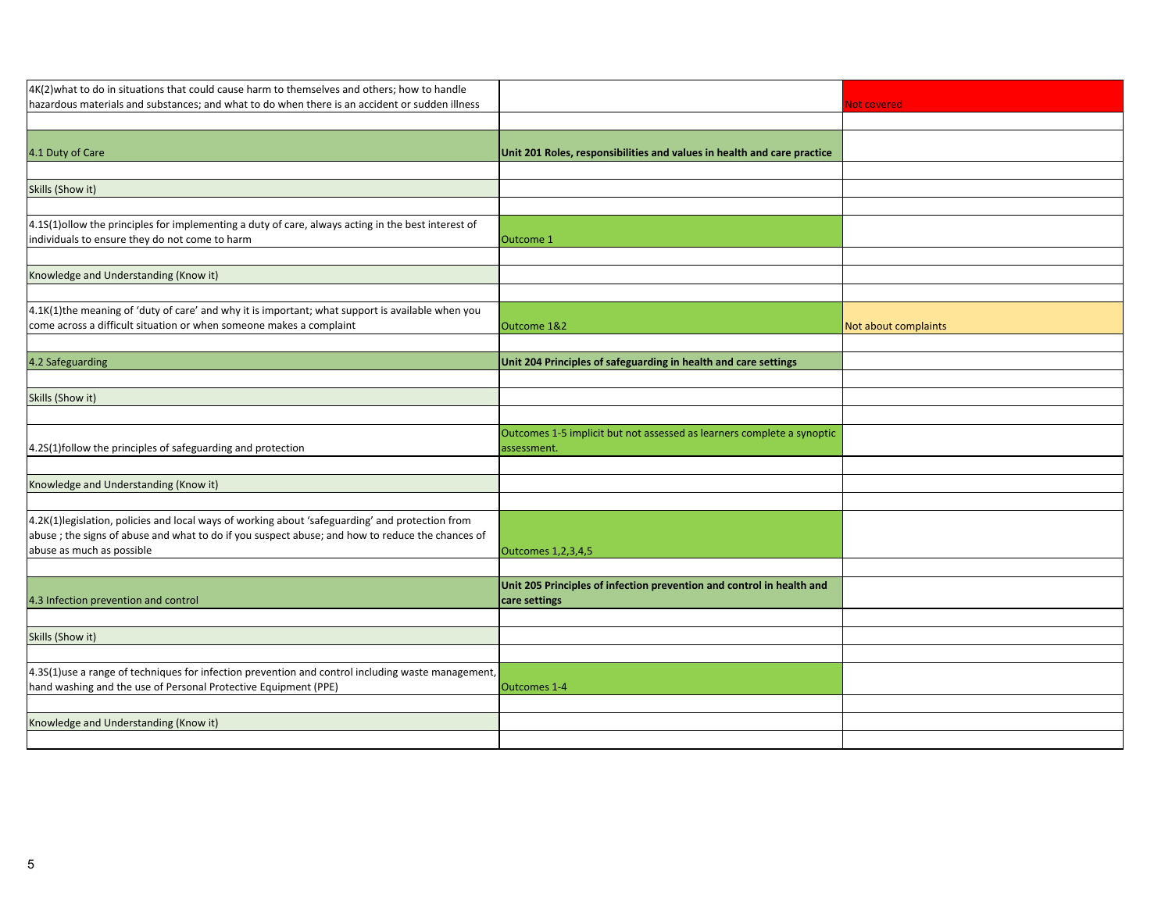| 4K(2) what to do in situations that could cause harm to themselves and others; how to handle<br>hazardous materials and substances; and what to do when there is an accident or sudden illness                                  |                                                                                        | <b>Not covered</b>   |
|---------------------------------------------------------------------------------------------------------------------------------------------------------------------------------------------------------------------------------|----------------------------------------------------------------------------------------|----------------------|
|                                                                                                                                                                                                                                 |                                                                                        |                      |
| 4.1 Duty of Care                                                                                                                                                                                                                | Unit 201 Roles, responsibilities and values in health and care practice                |                      |
| Skills (Show it)                                                                                                                                                                                                                |                                                                                        |                      |
| 4.1S(1)ollow the principles for implementing a duty of care, always acting in the best interest of<br>individuals to ensure they do not come to harm                                                                            | Outcome 1                                                                              |                      |
| Knowledge and Understanding (Know it)                                                                                                                                                                                           |                                                                                        |                      |
| 4.1K(1)the meaning of 'duty of care' and why it is important; what support is available when you<br>come across a difficult situation or when someone makes a complaint                                                         | Outcome 1&2                                                                            | Not about complaints |
| 4.2 Safeguarding                                                                                                                                                                                                                | Unit 204 Principles of safeguarding in health and care settings                        |                      |
| Skills (Show it)                                                                                                                                                                                                                |                                                                                        |                      |
| 4.2S(1)follow the principles of safeguarding and protection                                                                                                                                                                     | Outcomes 1-5 implicit but not assessed as learners complete a synoptic<br>assessment.  |                      |
| Knowledge and Understanding (Know it)                                                                                                                                                                                           |                                                                                        |                      |
| 4.2K(1)legislation, policies and local ways of working about 'safeguarding' and protection from<br>abuse; the signs of abuse and what to do if you suspect abuse; and how to reduce the chances of<br>abuse as much as possible | Outcomes 1, 2, 3, 4, 5                                                                 |                      |
| 4.3 Infection prevention and control                                                                                                                                                                                            | Unit 205 Principles of infection prevention and control in health and<br>care settings |                      |
| Skills (Show it)                                                                                                                                                                                                                |                                                                                        |                      |
|                                                                                                                                                                                                                                 |                                                                                        |                      |
| 4.3S(1)use a range of techniques for infection prevention and control including waste management,<br>hand washing and the use of Personal Protective Equipment (PPE)                                                            | <b>Outcomes 1-4</b>                                                                    |                      |
| Knowledge and Understanding (Know it)                                                                                                                                                                                           |                                                                                        |                      |